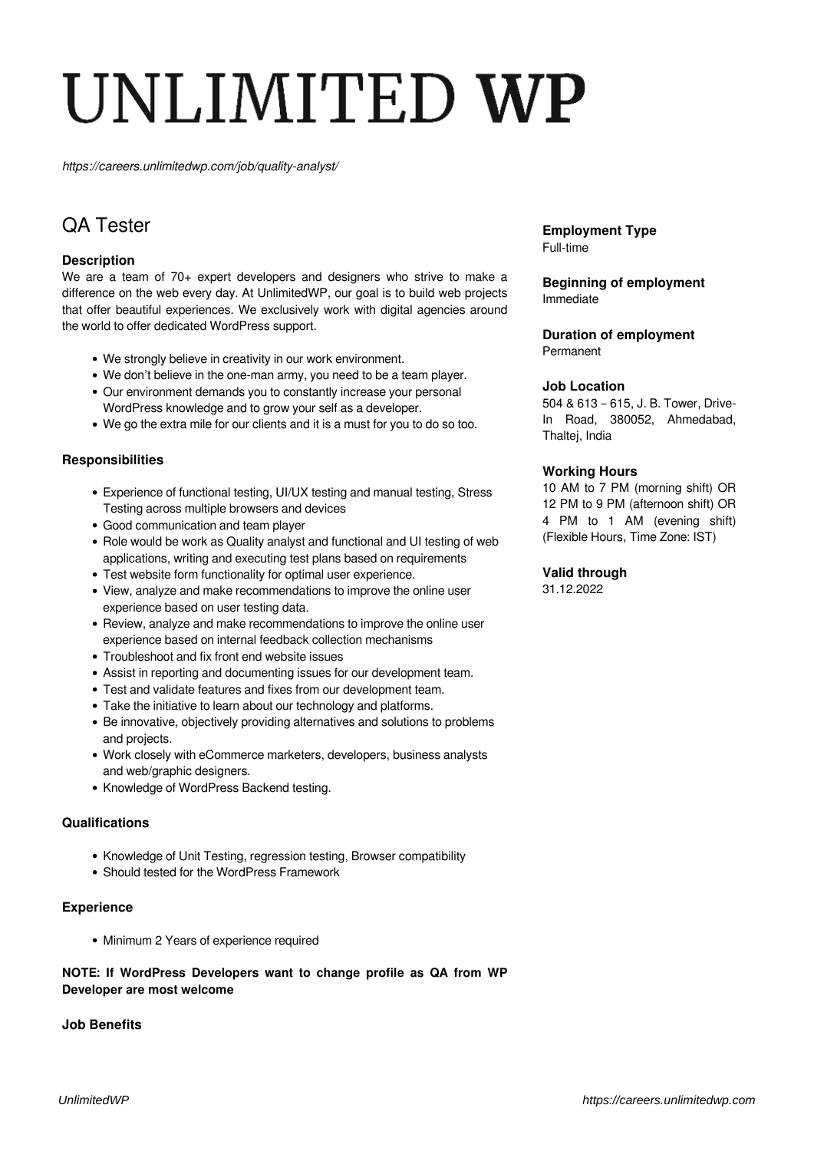# UNLIMITED WP

*https://careers.unlimitedwp.com/job/quality-analyst/*

# QA Tester

# **Description**

We are a team of 70+ expert developers and designers who strive to make a difference on the web every day. At UnlimitedWP, our goal is to build web projects that offer beautiful experiences. We exclusively work with digital agencies around the world to offer dedicated WordPress support.

- We strongly believe in creativity in our work environment.
- We don't believe in the one-man army, you need to be a team player.
- Our environment demands you to constantly increase your personal WordPress knowledge and to grow your self as a developer.
- We go the extra mile for our clients and it is a must for you to do so too.

# **Responsibilities**

- Experience of functional testing, UI/UX testing and manual testing, Stress Testing across multiple browsers and devices
- Good communication and team player
- Role would be work as Quality analyst and functional and UI testing of web applications, writing and executing test plans based on requirements
- Test website form functionality for optimal user experience.
- View, analyze and make recommendations to improve the online user experience based on user testing data.
- Review, analyze and make recommendations to improve the online user experience based on internal feedback collection mechanisms
- Troubleshoot and fix front end website issues
- Assist in reporting and documenting issues for our development team.
- Test and validate features and fixes from our development team.
- Take the initiative to learn about our technology and platforms.
- Be innovative, objectively providing alternatives and solutions to problems and projects.
- Work closely with eCommerce marketers, developers, business analysts and web/graphic designers.
- Knowledge of WordPress Backend testing.

#### **Qualifications**

- Knowledge of Unit Testing, regression testing, Browser compatibility
- Should tested for the WordPress Framework

#### **Experience**

• Minimum 2 Years of experience required

# **NOTE: If WordPress Developers want to change profile as QA from WP Developer are most welcome**

#### **Job Benefits**

**Employment Type** Full-time

**Beginning of employment** Immediate

#### **Duration of employment** Permanent

#### **Job Location**

504 & 613 – 615, J. B. Tower, Drive-In Road, 380052, Ahmedabad, Thaltej, India

#### **Working Hours**

10 AM to 7 PM (morning shift) OR 12 PM to 9 PM (afternoon shift) OR 4 PM to 1 AM (evening shift) (Flexible Hours, Time Zone: IST)

#### **Valid through**

31.12.2022